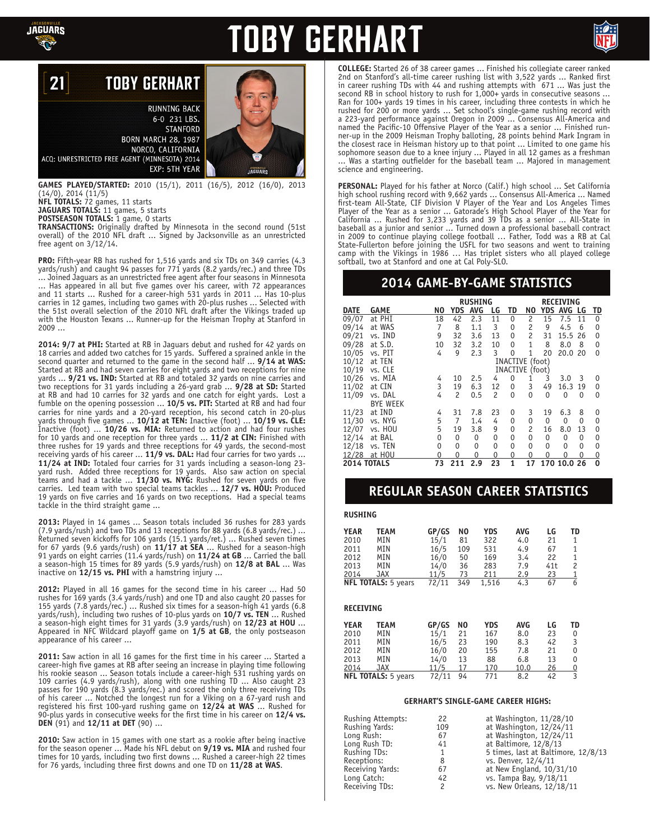

# **TOBY GERHART**



#### **TOBY GERHART** 21

**RUNNING BACK** 6-0 231 LBS. **STANFORD BORN MARCH 28, 1987** NORCO, CALIFORNIA ACQ: UNRESTRICTED FREE AGENT (MINNESOTA) 2014 EXP: 5TH YEAR

**GAMES PLAYED/STARTED:** 2010 (15/1), 2011 (16/5), 2012 (16/0), 2013 (14/0), 2014 (11/5) **NFL TOTALS:** 72 games, 11 starts

**JAGUARS TOTALS:** 11 games, 5 starts

**POSTSEASON TOTALS:** 1 game, 0 starts **TRANSACTIONS:** Originally drafted by Minnesota in the second round (51st overall) of the 2010 NFL draft ... Signed by Jacksonville as an unrestricted free agent on 3/12/14.

**PRO:** Fifth-year RB has rushed for 1,516 yards and six TDs on 349 carries (4.3 yards/rush) and caught 94 passes for 771 yards (8.2 yards/rec.) and three TDs ... Joined Jaguars as an unrestricted free agent after four seasons in Minnesota Has appeared in all but five games over his career, with 72 appearances and 11 starts ... Rushed for a career-high 531 yards in 2011 ... Has 10-plus carries in 12 games, including two games with 20-plus rushes ... Selected with the 51st overall selection of the 2010 NFL draft after the Vikings traded up with the Houston Texans ... Runner-up for the Heisman Trophy at Stanford in 2009 ...

**2014: 9/7 at PHI:** Started at RB in Jaguars debut and rushed for 42 yards on 18 carries and added two catches for 15 yards. Suffered a sprained ankle in the second quarter and returned to the game in the second half ... **9/14 at WAS:**  Started at RB and had seven carries for eight yards and two receptions for nine yards ... **9/21 vs. IND:** Started at RB and totaled 32 yards on nine carries and two receptions for 31 yards including a 26-yard grab ... **9/28 at SD:** Started at RB and had 10 carries for 32 yards and one catch for eight yards. Lost a fumble on the opening possession ... **10/5 vs. PIT:** Started at RB and had four carries for nine yards and a 20-yard reception, his second catch in 20-plus yards through five games ... **10/12 at TEN:** Inactive (foot) ... **10/19 vs. CLE:**  Inactive (foot) ... **10/26 vs. MIA:** Returned to action and had four rushes for 10 yards and one reception for three yards ... **11/2 at CIN:** Finished with three rushes for 19 yards and three receptions for 49 yards, the second-most receiving yards of his career ... **11/9 vs. DAL:** Had four carries for two yards ... **11/24 at IND:** Totaled four carries for 31 yards including a season-long 23 yard rush. Added three receptions for 19 yards. Also saw action on special teams and had a tackle ... **11/30 vs. NYG:** Rushed for seven yards on five carries. Led team with two special teams tackles ... **12/7 vs. HOU:** Produced 19 yards on five carries and 16 yards on two receptions. Had a special teams tackle in the third straight game ...

**2013:** Played in 14 games ... Season totals included 36 rushes for 283 yards (7.9 yards/rush) and two TDs and 13 receptions for 88 yards (6.8 yards/rec.) ...<br>Returned seven kickoffs for 106 yards (15.1 yards/ret.) ... Rushed seven times<br>for 67 yards (9.6 yards/rush) on **11/17 at SEA** ... Rushed for a season-high 15 times for 89 yards (5.9 yards/rush) on **12/8 at BAL** ... Was inactive on **12/15 vs. PHI** with a hamstring injury ...

**2012:** Played in all 16 games for the second time in his career ... Had 50 rushes for 169 yards (3.4 yards/rush) and one TD and also caught 20 passes for 155 yards (7.8 yards/rec.) ... Rushed six times for a season-high 41 yards (6.8 yards/rush), including two rushes of 10-plus yards on **10/7 vs. TEN** ... Rushed a season-high eight times for 31 yards (3.9 yards/rush) on **12/23 at HOU** ... Appeared in NFC Wildcard playoff game on **1/5 at GB**, the only postseason appearance of his career ...

**2011:** Saw action in all 16 games for the first time in his career ... Started a career-high five games at RB after seeing an increase in playing time following his rookie season ... Season totals include a career-high 531 rushing yards on 109 carries (4.9 yards/rush), along with one rushing TD ... Also caught 23 passes for 190 yards (8.3 yards/rec.) and scored the only three receiving TDs of his career ... Notched the longest run for a Viking on a 67-yard rush and registered his first 100-yard rushing game on **12/24 at WAS** ... Rushed for 90-plus yards in consecutive weeks for the first time in his career on **12/4 vs. DEN** (91) and **12/11 at DET** (90) ...

**2010:** Saw action in 15 games with one start as a rookie after being inactive for the season opener ... Made his NFL debut on **9/19 vs. MIA** and rushed four times for 10 yards, including two first downs ... Rushed a career-high 22 times for 76 yards, including three first downs and one TD on **11/28 at WAS**.

**COLLEGE:** Started 26 of 38 career games ... Finished his collegiate career ranked 2nd on Stanford's all-time career rushing list with 3,522 yards ... Ranked first in career rushing TDs with 44 and rushing attempts with 671 ... Was just the second RB in school history to rush for 1,000+ yards in consecutive seasons ... Ran for 100+ yards 19 times in his career, including three contests in which he rushed for 200 or more yards ... Set school's single-game rushing record with a 223-yard performance against Oregon in 2009 ... Consensus All-America and named the Pacific-10 Offensive Player of the Year as a senior ... Finished run- ner-up in the 2009 Heisman Trophy balloting, 28 points behind Mark Ingram in the closest race in Heisman history up to that point ... Limited to one game his sophomore season due to a knee injury ... Played in all 12 games as a freshman ... Was a starting outfielder for the baseball team ... Majored in management science and engineering.

**PERSONAL:** Played for his father at Norco (Calif.) high school ... Set California<br>high school rushing record with 9.662 yards ... Consensus All-America ... Named<br>first-team All-State, CIF Division V Player of the Year and California ... Rushed for 3,233 yards and 39 TDs as a senior ... All-State in baseball as a junior and senior ... Turned down a professional baseball contract in 2009 to continue playing college football … Father, Todd was a RB at Cal State-Fullerton before joining the USFL for two seasons and went to training camp with the Vikings in 1986 … Has triplet sisters who all played college softball, two at Stanford and one at Cal Poly-SLO.

### **2014 GAME-BY-GAME STATISTICS**

|                    |                 | <b>RUSHING</b>     |     |            |                |                 |                |     | RECEIVING  |    |                |
|--------------------|-----------------|--------------------|-----|------------|----------------|-----------------|----------------|-----|------------|----|----------------|
| <b>DATE</b>        | GAME            | N0                 | YDS | <b>AVG</b> | LG             | TD              | N0             | YDS | <b>AVG</b> | LG | TD             |
| 09/07              | at PHI          | 18                 | 42  | 2.3        | 11             | 0               | 2              | 15  | 7.5        | 11 | 0              |
| 09/14              | at WAS          | 7                  | 8   | 1.1        | 3              | 0               | 2              | 9   | 4.5        | 6  | 0              |
| 09/21              | vs. IND         | 9                  | 32  | 3.6        | 13             | 0               | 2              | 31  | 15.5       | 26 | 0              |
| 09/28              | at S.D.         | 10                 | 32  | 3.2        | 10             | $\mathbf{0}$    | $\overline{1}$ | 8   | 8.0        | 8  | 0              |
| 10/05              | vs. PIT         | 4                  | 9   | 2.3        | 3              | 0               | 1              | 20  | 20.0       | 20 | 0              |
| 10/12              | at TEN          | INACTIVE<br>(foot) |     |            |                |                 |                |     |            |    |                |
| 10/19              | vs. CLE         |                    |     |            |                | INACTIVE (foot) |                |     |            |    |                |
| 10/26              | vs. MIA         | 4                  | 10  | 2.5        | 4              | 0               | 1              | 3   | 3.0        | 3  | 0              |
| 11/02              | at CIN          | 3                  | 19  | 6.3        | 12             | 0               | 3              | 49  | 16.3       | 19 | 0              |
| 11/09              | vs. DAL         | 4                  | 2   | 0.5        | $\overline{c}$ | 0               | 0              | 0   | 0          | 0  | 0              |
|                    | <b>BYE WEEK</b> |                    |     |            |                |                 |                |     |            |    |                |
| 11/23              | at IND          | 4                  | 31  | 7.8        | 23             | 0               | 3              | 19  | 6.3        | 8  | 0              |
| 11/30              | vs. NYG         | 5                  | 7   | 1.4        | 4              | 0               | 0              | 0   | 0          | 0  | 0              |
| 12/07              | vs. HOU         | 5                  | 19  | 3.8        | 9              | 0               | 2              | 16  | 8.0        | 13 | 0              |
| 12/14              | at BAL          | 0                  | 0   | 0          | 0              | 0               | 0              | 0   | 0          | 0  | 0              |
| 12/18              | vs. TEN         | 0                  | 0   | 0          | 0              | 0               | 0              | 0   | 0          | 0  | 0              |
| 12/28              | at HOU          | 0                  | 0   | 0          | 0              | 0               | 0              | 0   | 0          | 0  | $\overline{0}$ |
| <b>2014 TOTALS</b> |                 | 73                 | 211 | 2.9        | 23             | 1               | 17             | 170 | 10.0       | 26 | $\mathbf 0$    |

### **REGULAR SEASON CAREER STATISTICS**

#### **RUSHING**

| <b>YEAR</b> | TEAM                | GP/GS | NO  | YDS   | <b>AVG</b> | LG  | TD |
|-------------|---------------------|-------|-----|-------|------------|-----|----|
| 2010        | MIN                 | 15/1  | 81  | 322   | 4.0        | 21  |    |
| 2011        | MIN                 | 16/5  | 109 | 531   | 4.9        | 67  |    |
| 2012        | MIN                 | 16/0  | 50  | 169   | 3.4        | 22  |    |
| 2013        | MIN                 | 14/0  | 36  | 283   | 7.9        | 41t | 2  |
| 2014        | <b>JAX</b>          | 11/5  | 73  | 211   | 2.9        | 23  |    |
|             | NFL TOTALS: 5 years | 72/11 | 349 | 1,516 | 4.3        | 67  | 6  |

#### **RECEIVING**

| <b>YEAR</b> | TEAM                       | GP/GS | N0 | <b>YDS</b> | <b>AVG</b> | LG | TD |
|-------------|----------------------------|-------|----|------------|------------|----|----|
| 2010        | MIN                        | 15/1  | 21 | 167        | 8.0        | 23 | 0  |
| 2011        | MIN                        | 16/5  | 23 | 190        | 8.3        | 42 | 3  |
| 2012        | MIN                        | 16/0  | 20 | 155        | 7.8        | 21 | 0  |
| 2013        | MIN                        | 14/0  | 13 | 88         | 6.8        | 13 | 0  |
| 2014        | <b>JAX</b>                 | 11/5  | 17 | 170        | 10.0       | 26 | 0  |
|             | <b>NFL TOTALS: 5 years</b> | 72/11 | 94 | 771        | 8.2        | 42 | २  |

#### **GERHART'S SINGLE-GAME CAREER HIGHS:**

| <b>Rushing Attempts:</b> | 22  | at Washington, 11/28/10             |
|--------------------------|-----|-------------------------------------|
| Rushing Yards:           | 109 | at Washington, 12/24/11             |
| Long Rush:               | 67  | at Washington, 12/24/11             |
| Long Rush TD:            | 41  | at Baltimore, $12/8/13$             |
| Rushing TDs:             |     | 5 times, last at Baltimore, 12/8/13 |
| Receptions:              | 8   | vs. Denver, 12/4/11                 |
| Receiving Yards:         | 67  | at New England, 10/31/10            |
| Long Catch:              | 42  | vs. Tampa Bay, 9/18/11              |
| Receiving TDs:           | 2   | vs. New Orleans, 12/18/11           |